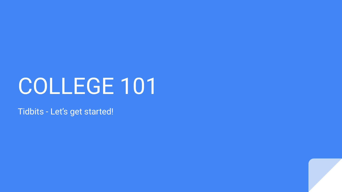# COLLEGE 101

Tidbits - Let's get started!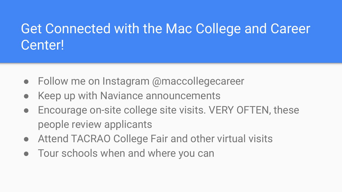### Get Connected with the Mac College and Career Center!

- Follow me on Instagram @maccollegecareer
- Keep up with Naviance announcements
- Encourage on-site college site visits. VERY OFTEN, these people review applicants
- Attend TACRAO College Fair and other virtual visits
- Tour schools when and where you can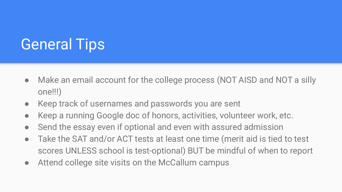## General Tips

- Make an email account for the college process (NOT AISD and NOT a silly one!!!)
- Keep track of usernames and passwords you are sent
- Keep a running Google doc of honors, activities, volunteer work, etc.
- Send the essay even if optional and even with assured admission
- Take the SAT and/or ACT tests at least one time (merit aid is tied to test scores UNLESS school is test-optional) BUT be mindful of when to report
- Attend college site visits on the McCallum campus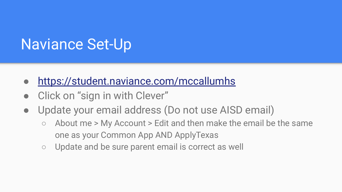### Naviance Set-Up

- <https://student.naviance.com/mccallumhs>
- Click on "sign in with Clever"
- Update your email address (Do not use AISD email)
	- $\circ$  About me > My Account > Edit and then make the email be the same one as your Common App AND ApplyTexas
	- Update and be sure parent email is correct as well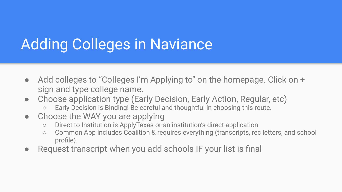### Adding Colleges in Naviance

- Add colleges to "Colleges I'm Applying to" on the homepage. Click on + sign and type college name.
- Choose application type (Early Decision, Early Action, Regular, etc)
	- Early Decision is Binding! Be careful and thoughtful in choosing this route.
- Choose the WAY you are applying
	- Direct to Institution is ApplyTexas or an institution's direct application
	- Common App includes Coalition & requires everything (transcripts, rec letters, and school profile)
- Request transcript when you add schools IF your list is final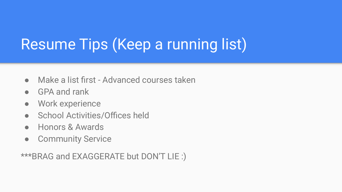## Resume Tips (Keep a running list)

- Make a list first Advanced courses taken
- GPA and rank
- Work experience
- School Activities/Offices held
- Honors & Awards
- Community Service

\*\*\*BRAG and EXAGGERATE but DON'T LIE :)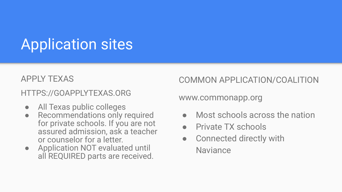## Application sites

#### APPLY TEXAS

### HTTPS://GOAPPLYTEXAS.ORG

- All Texas public colleges
- Recommendations only required for private schools. If you are not assured admission, ask a teacher or counselor for a letter.
- Application NOT evaluated until all REQUIRED parts are received.

COMMON APPLICATION/COALITION

www.commonapp.org

- Most schools across the nation
- Private TX schools
- Connected directly with **Naviance**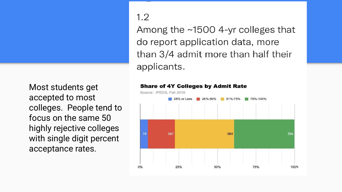Most students get accepted to most colleges. People tend to focus on the same 50 highly rejective colleges with single digit percent acceptance rates.

#### $1.2$

Among the ~1500 4-yr colleges that do report application data, more than 3/4 admit more than half their applicants.

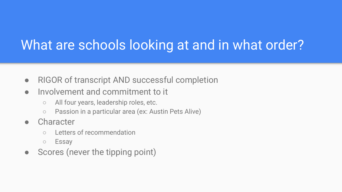### What are schools looking at and in what order?

- RIGOR of transcript AND successful completion
- Involvement and commitment to it
	- All four years, leadership roles, etc.
	- Passion in a particular area (ex: Austin Pets Alive)
- Character
	- Letters of recommendation
	- Essay
- Scores (never the tipping point)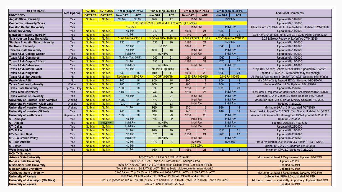| <b>CLASS RANK</b>                           |                      | Top 6%                                                                                                                                                                                | Top 7-10%                                             |                                    | 1st Q (Top 11-25%) |                                    | 2nd Q (Top 26-50%)    |                                                    | 3rd Q (Top 51-75%) |                                    | 4th Q (Top 76-100%)                                       | <b>Additional Comments</b>                                   |
|---------------------------------------------|----------------------|---------------------------------------------------------------------------------------------------------------------------------------------------------------------------------------|-------------------------------------------------------|------------------------------------|--------------------|------------------------------------|-----------------------|----------------------------------------------------|--------------------|------------------------------------|-----------------------------------------------------------|--------------------------------------------------------------|
| <b>UNIVERSITY</b>                           | <b>Test Optional</b> | <b>SAT/ACT</b>                                                                                                                                                                        | <b>SAT/ACT</b>                                        | <b>New SAT</b>                     | <b>ACT</b>         | <b>New SAT</b>                     | <b>ACT</b>            | <b>New SAT</b>                                     | <b>ACT</b>         | New SAT                            | <b>ACT</b>                                                |                                                              |
| <b>Angelo State University</b>              | Yes                  | No Min                                                                                                                                                                                | No Min<br>No Min<br>No Min                            |                                    |                    | 920                                | <b>Indvl Rw</b><br>17 |                                                    | <b>Indv Rw</b>     |                                    | <b>Updated 07/14/2020</b>                                 |                                                              |
| <b>Concordia University Texas</b>           | Yes                  | 1020 SAT/22 ACT with a Min GPA of 2.5 (4.0 scale)                                                                                                                                     |                                                       |                                    |                    |                                    |                       |                                                    |                    |                                    | Updated 07/16/2020                                        |                                                              |
| <b>Houston Baptist University</b>           | Yes                  |                                                                                                                                                                                       | 1070/21                                               |                                    |                    |                                    |                       | <b>Indvl Rw</b>                                    |                    | <b>Indvl Rw</b>                    |                                                           | All ranks w/ 1270 SAT/ 26 ACT Auto Admit; Updated 07/14/2020 |
| <b>Lamar University</b>                     | Yes                  | No Min                                                                                                                                                                                | No Min                                                | No Min                             |                    | 1040                               | 20                    | 1080                                               | 21                 | 1080                               | 21                                                        | Updated 07/14/2020                                           |
| <b>Midwestern State University</b>          | Yes                  | No Min                                                                                                                                                                                | No Min                                                | No Min                             |                    | 1070                               | 21                    | 1140                                               | 23                 | 1180                               | 24                                                        | 2.75-4.0 GPA Uncon Admit; 2.5-2.74 Cond Admit 08/10/2020     |
| <b>Sam Houston State University</b>         | <b>No</b>            | No Min                                                                                                                                                                                | No Min                                                | 3.5-4.0 GPA 930/17                 |                    | 3.0-3.49 GPA 1010/19               | 2.5-2.99 GPA 1110/2   |                                                    |                    | 2.25-2.49 GPA 1210/25              |                                                           | 2.24 & Below Review only: Verified 07/14/2020                |
| <b>Stephen F. Austin State University</b>   | Yes                  | No Min                                                                                                                                                                                | No Min                                                | 930<br>17                          |                    | 1030<br>20                         |                       | 1170                                               | 24                 | Indy Rw                            |                                                           | Updated 07/14/2020                                           |
| <b>Sul Ross University</b>                  | <b>No</b>            | No Min                                                                                                                                                                                | No Min                                                | No Min                             |                    | No Min                             |                       | 1040                                               | 20                 | 1040                               | 20                                                        | Updated 07/14/2020                                           |
| <b>Tarleton State University</b>            | Yes                  | No Min                                                                                                                                                                                | No Min                                                | No Min                             |                    | 880<br>16                          |                       | <b>Indvl Rw</b>                                    |                    | <b>Indvl Rw</b>                    |                                                           | Updated 07/14/2020                                           |
| <b>Texas A&amp;M- College Station</b>       | Yes                  | No Min                                                                                                                                                                                | No Min                                                | <b>Indvl Rw</b>                    |                    | <b>Indvl Rw</b>                    |                       | <b>Indvl Rw</b>                                    |                    | <b>Indvl Rw</b>                    |                                                           | Updated 07/14/2020                                           |
| <b>Texas A&amp;M- Commerce</b>              | Waiting              | No Min                                                                                                                                                                                | No Min                                                | No Min (Top 30%)                   |                    | 1060                               | 21                    | 1060                                               | 21                 | 1060                               | 21                                                        | Updated 07/14/2020                                           |
| <b>Texas A&amp;M- Corpus Christi</b>        | Yes                  | No Min                                                                                                                                                                                | No Min                                                | No Min                             |                    | 1080                               | 21                    | 1170                                               | 23                 | 1270                               | 27                                                        | Updated 07/14/2020                                           |
| <b>Texas A&amp;M- Galveston</b>             | Yes                  | No Min                                                                                                                                                                                | No Min                                                | <b>Indvl Rw</b>                    |                    | <b>Indvl Rw</b>                    |                       | <b>Indvl Rw</b>                                    |                    | <b>Indvl Rw</b>                    |                                                           | Updated 07/14/2020                                           |
| <b>Texas A&amp;M- International</b>         | Yes                  | No Min                                                                                                                                                                                | No Min                                                | No Min                             |                    |                                    | No Min (Top 40%)      | 980                                                | 19                 | 980                                | 19                                                        | *Top 40% no min; Bottom 60% 980/19- Updated 07/16/2020       |
| <b>Texas A&amp;M- Kingsville</b>            | Yes                  | No Min                                                                                                                                                                                | No Min                                                | 830                                | 15                 | 910                                | 17                    | 1030                                               | 20                 | 1140                               | 23                                                        | Updated 07/16/2020- Auto Admit may still change              |
| <b>Texas A&amp;M- San Antonio</b>           | <b>No</b>            | No Min                                                                                                                                                                                | No Min                                                | No Min or >3.25 GPA                |                    |                                    | 3.0 GPA 980/19        |                                                    | 2.50 GPA 1020/20   |                                    | 2.0 GPA 1060/21                                           | All Ranks Auto Admit: 1100 SAT/ 22 ACT; Updated 07/16/2020   |
| <b>Prairie View A&amp;M</b>                 | <b>No</b>            | No Min                                                                                                                                                                                | No Min                                                | 800                                | 15                 | 800                                | 15                    | 800                                                | 15                 | 800                                | 15                                                        | Min GPA of 2.8; Pass All EOCs- Updated 08/04/2020            |
| <b>Texas Southern University</b>            | Waiting              | No Min                                                                                                                                                                                | No Min                                                | 900                                | 17                 | 900                                | 17                    | 900                                                | 17                 | 900                                | 17                                                        | Minimum GPA of 2.5- Updated 07/16/2020                       |
| <b>Texas State University</b>               | Top 75% Only         | No Min                                                                                                                                                                                | No Min                                                | 1000                               | 20                 | 1090                               | 22                    | 1250                                               | 26                 | 1330                               | 29                                                        | Updated 07/29/2020                                           |
| <b>Texas Tech University</b>                | Yes                  | No Min                                                                                                                                                                                | No Min                                                | 1180                               | 24                 | 1240                               | 26                    | 1280                                               | 27                 |                                    | <b>Indvl Rw</b>                                           | Test Scores Required for Merit Based Scholarships 07/15/2020 |
| <b>Texas Woman's University</b>             | Yes                  | No Min                                                                                                                                                                                | No Min                                                | No Min                             |                    | 1080<br>21                         |                       | <b>Indvl Rw</b><br><b>Indvi Rw</b>                 |                    |                                    | Minimum GPA of 2.0 on 4.0 scale Updated 07/27/2020        |                                                              |
| <b>University of Houston- Main Campus</b>   | Waiting              | No Min                                                                                                                                                                                | No Min                                                | 1080<br>21                         |                    | 1170                               | 24                    | <b>Indvl Rw</b>                                    |                    | <b>Indvl Rw</b>                    |                                                           | Unspoken Rule: 3rd & 4th Q: 1270/27 Updated 7/27/2020        |
| <b>University of Houston- Clear Lake</b>    | Waiting              | No Min                                                                                                                                                                                | No Min                                                | 20<br>1030                         |                    | 1130                               | 23                    |                                                    | <b>Indvl Rw</b>    |                                    | <b>Indvl Rw</b>                                           | <b>Updated 7/27/2020</b>                                     |
| <b>University of Houston- Downtown</b>      | Waiting              | No Min                                                                                                                                                                                | No Min                                                | No Min                             |                    | 930                                | 18                    | 930                                                | 18                 | 930                                | 18                                                        | Minimum GPA of 2.5- Updated 7/27/2020                        |
| <b>University of Houston- Victoria</b>      | Yes                  | No Min                                                                                                                                                                                | No Min                                                | 940                                | 18                 | 940                                | 18                    | 940                                                | 18                 | 940                                | 18                                                        | Must meet 2: Top 40%, 2.0 GPA, Test Score; Updated 8/10/2020 |
| <b>University of North Texas</b>            | <b>Depends GPA</b>   | No Min                                                                                                                                                                                | No Min                                                | 1030<br>20<br>23<br>1130           |                    |                                    |                       | 26<br><b>Indvl Rw</b><br>1250                      |                    |                                    | Assured admissions 3.0 Unweighted GPA- Updated 07/28/2020 |                                                              |
| <b>UT-Arlington</b>                         | Yes                  | No Min                                                                                                                                                                                | <b>No Min</b>                                         | No Min<br>1100<br>22               |                    |                                    |                       | Indvl Rw<br><b>Indvl Rw</b>                        |                    |                                    |                                                           | <b>Updated 7/28/2020</b>                                     |
| <b>UT-Austin</b>                            | Yes                  | No Min                                                                                                                                                                                | <b>Indvl Rw</b>                                       | <b>Indvl Rw</b><br><b>Indvl Rw</b> |                    | <b>Indvl Rw</b><br><b>Indvl Rw</b> |                       | <b>Indvl Rw</b><br><b>Indvl Rw</b>                 |                    | <b>Indvl Rw</b><br><b>Indvl Rw</b> |                                                           | Top 6%; Updated 07/28/2020                                   |
| <b>UT-Dallas</b>                            | Yes                  | No Min                                                                                                                                                                                | No Min                                                |                                    |                    |                                    |                       |                                                    |                    |                                    |                                                           | <b>Updated 07/28/2020</b>                                    |
| <b>UT-El Paso</b>                           | <b>No</b>            | No Min                                                                                                                                                                                | No Min                                                | No Min                             |                    | 920                                | 19                    | 970                                                | 20                 | 1010                               | 21                                                        | Updated 08/14/2020                                           |
| <b>UT- Permian Basin</b>                    | Yes                  | No Min                                                                                                                                                                                | <b>No Min</b>                                         | No Min                             |                    | 1020                               | 20                    | 1160                                               | 24                 | 1280                               | 27                                                        | Updated 07/28/2020                                           |
| <b>UT-Rio Grande Valley</b>                 | Yes                  | No Min                                                                                                                                                                                | No Min                                                | <b>Indvl Rw</b><br>No Min          |                    | <b>Indvl Rw</b>                    |                       | <b>Indvl Rw</b><br>Indvl Rw*                       |                    | <b>Indvl Rw</b><br>Indvl Rw*       |                                                           | Updated 07/28/2020                                           |
| <b>UT-San Antonio</b>                       | Yes                  | No Min                                                                                                                                                                                | No Min                                                |                                    |                    | 1170                               | 24                    |                                                    |                    |                                    |                                                           | *IndivI review min: 2Q: 980/19: 3Q-1080/21: 4Q-1170/24       |
| UT-Tyler                                    | Yes                  | No Min                                                                                                                                                                                | No Min                                                | No Min                             |                    |                                    |                       |                                                    | 2.75 GPA           |                                    |                                                           | Minimum GPA 2.75- Updated 08/04/2020                         |
| <b>West Texas A&amp;M</b>                   | Yes                  | No Min                                                                                                                                                                                | No Min                                                | No Min                             |                    | 960                                | 18                    | 1060                                               | 21                 | 1130                               | 23                                                        | Minimum GPA 2.0- Updated 7/28/2020                           |
| <b>NON TX Schools</b>                       |                      |                                                                                                                                                                                       |                                                       |                                    |                    |                                    |                       |                                                    |                    |                                    |                                                           |                                                              |
| <b>Arizona State University</b>             |                      | Top 25% or 3.0 GPA or 1180 SAT/ 24 ACT                                                                                                                                                |                                                       |                                    |                    |                                    |                       | Must meet at least 1 Requirement; Updated 07/23/19 |                    |                                    |                                                           |                                                              |
| <b>Kansas State University</b>              |                      | 1060 SAT/ 21 ACT and a 2.5 GPA (min 2.0 College GPA)<br><b>Update 7/23/19</b>                                                                                                         |                                                       |                                    |                    |                                    |                       |                                                    |                    |                                    |                                                           |                                                              |
| <b>Mississippi State University</b>         |                      | 1030 SAT/20 ACT and a 2.5 GPA (based on College Prep Curriculum [CPC])<br><b>Updated 7/23/19</b>                                                                                      |                                                       |                                    |                    |                                    |                       |                                                    |                    |                                    |                                                           |                                                              |
| <b>Missouri State University</b>            |                      | Top 66% and a 1130 SAT/ 23 ACT (Sliding Scale- visit website for more details)<br><b>Updated 7/23/19</b><br>3.0 GPA and Top 33.3% or 3.0 GPA and 1060 SAT/ 21 ACT or 1160 SAT/ 24 ACT |                                                       |                                    |                    |                                    |                       |                                                    |                    |                                    |                                                           |                                                              |
| <b>Oklahoma State University</b>            |                      | Must meet at least 1 Requirement; Updated 07/23/19<br>1060 SAT/ 21 ACT and a 3.25 GPA or 1160 SAT/ 24 ACT and a 3.0 GPA                                                               |                                                       |                                    |                    |                                    |                       |                                                    |                    |                                    |                                                           |                                                              |
| <b>University of Kansas</b>                 |                      | College Prep GPA 2.5+; Updated 7/23/19<br>3.2 GPA (based on CPC); Top 50% or 2.5 GPA and 890 SAT/ 16 ACT; 970 SAT/ 18 ACT and a 2.0 GPA*                                              |                                                       |                                    |                    |                                    |                       |                                                    |                    |                                    |                                                           |                                                              |
| <b>University of Mississippi (Ole Miss)</b> |                      | Admission based on availability; Apply Early; Updated 07/23/19                                                                                                                        |                                                       |                                    |                    |                                    |                       |                                                    |                    |                                    |                                                           |                                                              |
| <b>University of Nevada</b>                 |                      |                                                                                                                                                                                       | 3.0 GPA and 1120 SAT/22 ACT<br><b>Updated 7/23/19</b> |                                    |                    |                                    |                       |                                                    |                    |                                    |                                                           |                                                              |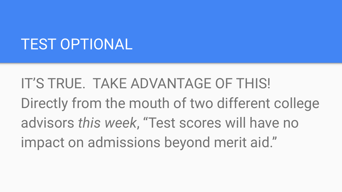### TEST OPTIONAL

IT'S TRUE. TAKE ADVANTAGE OF THIS! Directly from the mouth of two different college advisors *this week*, "Test scores will have no impact on admissions beyond merit aid."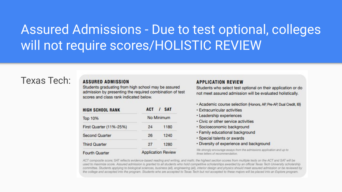### Assured Admissions - Due to test optional, colleges will not require scores/HOLISTIC REVIEW

#### Texas Tech:

#### **ASSURED ADMISSION**

Students graduating from high school may be assured admission by presenting the required combination of test scores and class rank indicated below.

| <b>HIGH SCHOOL RANK</b> | <b>ACT</b> | / SAT                     |
|-------------------------|------------|---------------------------|
| <b>Top 10%</b>          |            | No Minimum                |
| First Quarter (11%-25%) | 24         | 1180                      |
| <b>Second Quarter</b>   | 26         | 1240                      |
| <b>Third Quarter</b>    | 27         | 1280                      |
| Fourth Quarter          |            | <b>Application Review</b> |

#### **APPLICATION REVIEW**

Students who select test optional on their application or do not meet assured admission will be evaluated holistically.

- · Academic course selection (Honors, AP, Pre-AP, Dual Credit, IB)
- · Extracurricular activities
- · Leadership experiences
- · Civic or other service activities
- · Socioeconomic background
- · Family educational background
- · Special talents or awards
- · Diversity of experience and background

We strongly encourage essays from the admissions application and up to three letters of recommendation.

ACT composite score; SAT reflects evidence-based reading and writing, and math; the highest section scores from multiple tests on the ACT and SAT will be used to maximize score. Assured admission is granted to all students who hold competitive scholarships awarded by an official Texas Tech University scholarship committee. Students applying to biological sciences, business (all), engineering (all), interior design and physics should meet assured admission or be reviewed by the college and accepted into the program. Students who are accepted to Texas Tech but not accepted to these majors will be placed into an Explore program.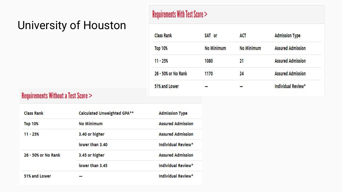### University of Houston

### **Requirements With Test Score >**

| <b>Class Rank</b>   | <b>SAT or</b> | ACT        | <b>Admission Type</b>    |
|---------------------|---------------|------------|--------------------------|
| <b>Top 10%</b>      | No Minimum    | No Minimum | <b>Assured Admission</b> |
| $11 - 25%$          | 1080          | 21         | <b>Assured Admission</b> |
| 26 - 50% or No Rank | 1170          | 24         | <b>Assured Admission</b> |
| 51% and Lower       |               |            | Individual Review*       |

#### **Requirements Without a Test Score >**

| <b>Class Rank</b>   | Calculated Unweighted GPA** | <b>Admission Type</b>    |
|---------------------|-----------------------------|--------------------------|
| <b>Top 10%</b>      | No Minimum                  | <b>Assured Admission</b> |
| $11 - 25%$          | 3.40 or higher              | <b>Assured Admission</b> |
|                     | lower than 3.40             | Individual Review*       |
| 26 - 50% or No Rank | 3.45 or higher              | <b>Assured Admission</b> |
|                     | lower than 3.45             | Individual Review*       |
| 51% and Lower       |                             | Individual Review*       |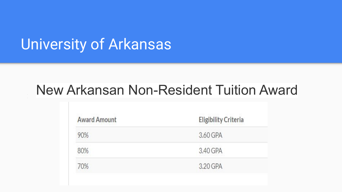### University of Arkansas

### **New Arkansan Non-Resident Tuition Award**

| <b>Award Amount</b> | <b>Eligibility Criteria</b> |
|---------------------|-----------------------------|
| 90%                 | 3.60 GPA                    |
| 80%                 | 3.40 GPA                    |
| 70%                 | 3.20 GPA                    |
|                     |                             |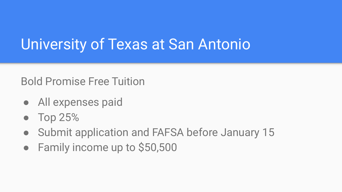### University of Texas at San Antonio

Bold Promise Free Tuition

- All expenses paid
- Top 25%
- Submit application and FAFSA before January 15
- Family income up to \$50,500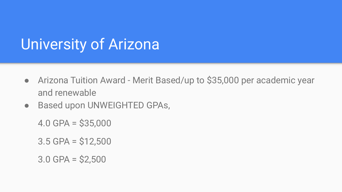### University of Arizona

- Arizona Tuition Award Merit Based/up to \$35,000 per academic year and renewable
- Based upon UNWEIGHTED GPAs,

 $4.0$  GPA = \$35,000

 $3.5$  GPA =  $$12,500$ 

3.0 GPA = \$2,500